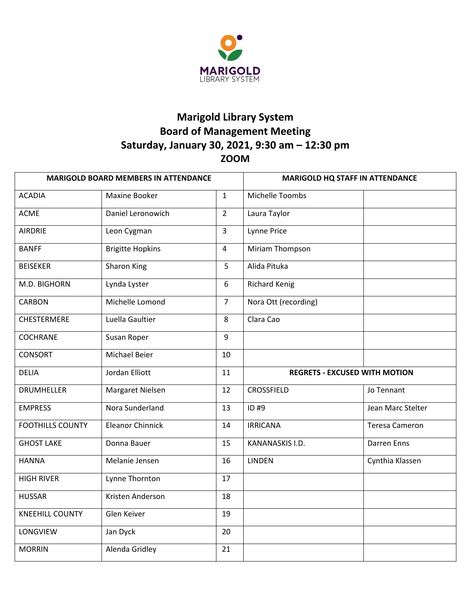

# **Marigold Library System Board of Management Meeting Saturday, January 30, 2021, 9:30 am – 12:30 pm ZOOM**

| <b>MARIGOLD BOARD MEMBERS IN ATTENDANCE</b> |                         | <b>MARIGOLD HQ STAFF IN ATTENDANCE</b> |                                      |                       |
|---------------------------------------------|-------------------------|----------------------------------------|--------------------------------------|-----------------------|
| <b>ACADIA</b>                               | Maxine Booker           | $\mathbf{1}$                           | Michelle Toombs                      |                       |
| <b>ACME</b>                                 | Daniel Leronowich       | $\overline{2}$                         | Laura Taylor                         |                       |
| <b>AIRDRIE</b>                              | Leon Cygman             | $\overline{3}$                         | Lynne Price                          |                       |
| <b>BANFF</b>                                | <b>Brigitte Hopkins</b> | $\overline{4}$                         | Miriam Thompson                      |                       |
| <b>BEISEKER</b>                             | Sharon King             | 5                                      | Alida Pituka                         |                       |
| M.D. BIGHORN                                | Lynda Lyster            | 6                                      | <b>Richard Kenig</b>                 |                       |
| <b>CARBON</b>                               | Michelle Lomond         | $\overline{7}$                         | Nora Ott (recording)                 |                       |
| <b>CHESTERMERE</b>                          | Luella Gaultier         | 8                                      | Clara Cao                            |                       |
| <b>COCHRANE</b>                             | Susan Roper             | 9                                      |                                      |                       |
| <b>CONSORT</b>                              | Michael Beier           | 10                                     |                                      |                       |
| <b>DELIA</b>                                | Jordan Elliott          | 11                                     | <b>REGRETS - EXCUSED WITH MOTION</b> |                       |
| <b>DRUMHELLER</b>                           | Margaret Nielsen        | 12                                     | <b>CROSSFIELD</b>                    | Jo Tennant            |
| <b>EMPRESS</b>                              | Nora Sunderland         | 13                                     | ID #9                                | Jean Marc Stelter     |
| <b>FOOTHILLS COUNTY</b>                     | <b>Eleanor Chinnick</b> | 14                                     | <b>IRRICANA</b>                      | <b>Teresa Cameron</b> |
| <b>GHOST LAKE</b>                           | Donna Bauer             | 15                                     | KANANASKIS I.D.                      | <b>Darren Enns</b>    |
| <b>HANNA</b>                                | Melanie Jensen          | 16                                     | <b>LINDEN</b>                        | Cynthia Klassen       |
| <b>HIGH RIVER</b>                           | Lynne Thornton          | 17                                     |                                      |                       |
| <b>HUSSAR</b>                               | Kristen Anderson        | 18                                     |                                      |                       |
| <b>KNEEHILL COUNTY</b>                      | Glen Keiver             | 19                                     |                                      |                       |
| LONGVIEW                                    | Jan Dyck                | 20                                     |                                      |                       |
| <b>MORRIN</b>                               | Alenda Gridley          | 21                                     |                                      |                       |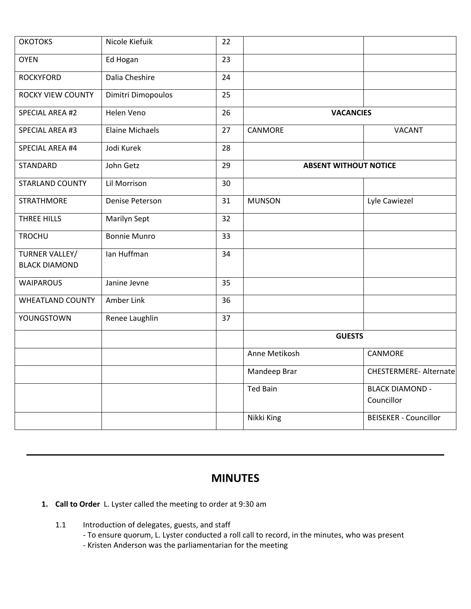| <b>OKOTOKS</b>           | Nicole Kiefuik         | 22 |                 |                                      |
|--------------------------|------------------------|----|-----------------|--------------------------------------|
| <b>OYEN</b>              | Ed Hogan               | 23 |                 |                                      |
| <b>ROCKYFORD</b>         | Dalia Cheshire         | 24 |                 |                                      |
| <b>ROCKY VIEW COUNTY</b> | Dimitri Dimopoulos     | 25 |                 |                                      |
| SPECIAL AREA #2          | Helen Veno             | 26 |                 | <b>VACANCIES</b>                     |
| <b>SPECIAL AREA #3</b>   | <b>Elaine Michaels</b> | 27 | CANMORE         | VACANT                               |
| <b>SPECIAL AREA #4</b>   | Jodi Kurek             | 28 |                 |                                      |
| <b>STANDARD</b>          | John Getz              | 29 |                 | <b>ABSENT WITHOUT NOTICE</b>         |
| <b>STARLAND COUNTY</b>   | Lil Morrison           | 30 |                 |                                      |
| <b>STRATHMORE</b>        | Denise Peterson        | 31 | <b>MUNSON</b>   | Lyle Cawiezel                        |
| THREE HILLS              | Marilyn Sept           | 32 |                 |                                      |
| <b>TROCHU</b>            | <b>Bonnie Munro</b>    | 33 |                 |                                      |
| TURNER VALLEY/           | Ian Huffman            | 34 |                 |                                      |
| <b>BLACK DIAMOND</b>     |                        |    |                 |                                      |
| <b>WAIPAROUS</b>         | Janine Jevne           | 35 |                 |                                      |
| <b>WHEATLAND COUNTY</b>  | Amber Link             | 36 |                 |                                      |
| YOUNGSTOWN               | Renee Laughlin         | 37 |                 |                                      |
|                          |                        |    |                 | <b>GUESTS</b>                        |
|                          |                        |    | Anne Metikosh   | CANMORE                              |
|                          |                        |    | Mandeep Brar    | <b>CHESTERMERE-Alternate</b>         |
|                          |                        |    | <b>Ted Bain</b> | <b>BLACK DIAMOND -</b><br>Councillor |
|                          |                        |    | Nikki King      | <b>BEISEKER - Councillor</b>         |

## **MINUTES**

- **1. Call to Order** L. Lyster called the meeting to order at 9:30 am
	- 1.1 Introduction of delegates, guests, and staff
		- To ensure quorum, L. Lyster conducted a roll call to record, in the minutes, who was present
		- Kristen Anderson was the parliamentarian for the meeting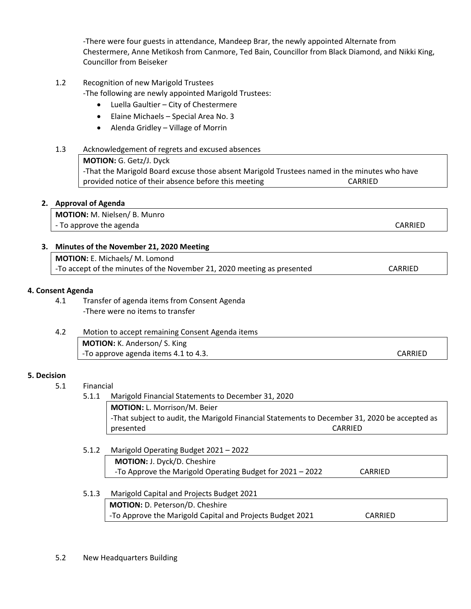-There were four guests in attendance, Mandeep Brar, the newly appointed Alternate from Chestermere, Anne Metikosh from Canmore, Ted Bain, Councillor from Black Diamond, and Nikki King, Councillor from Beiseker

1.2 Recognition of new Marigold Trustees

-The following are newly appointed Marigold Trustees:

- Luella Gaultier City of Chestermere
- Elaine Michaels Special Area No. 3
- Alenda Gridley Village of Morrin

## 1.3 Acknowledgement of regrets and excused absences

**MOTION:** G. Getz/J. Dyck

-That the Marigold Board excuse those absent Marigold Trustees named in the minutes who have provided notice of their absence before this meeting CARRIED

#### **2. Approval of Agenda**

**MOTION:** M. Nielsen/ B. Munro - To approve the agenda CARRIED and the set of the set of the set of the set of the set of the set of the set of the set of the set of the set of the set of the set of the set of the set of the set of the set of the set of

#### **3. Minutes of the November 21, 2020 Meeting**

| MOTION: E. Michaels/ M. Lomond                                          |         |
|-------------------------------------------------------------------------|---------|
| -To accept of the minutes of the November 21, 2020 meeting as presented | CARRIED |

#### **4. Consent Agenda**

4.1 Transfer of agenda items from Consent Agenda -There were no items to transfer

| 4.2 | Motion to accept remaining Consent Agenda items |         |
|-----|-------------------------------------------------|---------|
|     | <b>MOTION:</b> K. Anderson/ S. King             |         |
|     | -To approve agenda items 4.1 to 4.3.            | CARRIED |

#### **5. Decision**

5.1 Financial

5.1.1 Marigold Financial Statements to December 31, 2020

**MOTION:** L. Morrison/M. Beier -That subject to audit, the Marigold Financial Statements to December 31, 2020 be accepted as presented CARRIED

5.1.2 Marigold Operating Budget 2021 – 2022 **MOTION:** J. Dyck/D. Cheshire -To Approve the Marigold Operating Budget for 2021 – 2022 CARRIED

## 5.1.3 Marigold Capital and Projects Budget 2021 **MOTION:** D. Peterson/D. Cheshire -To Approve the Marigold Capital and Projects Budget 2021 CARRIED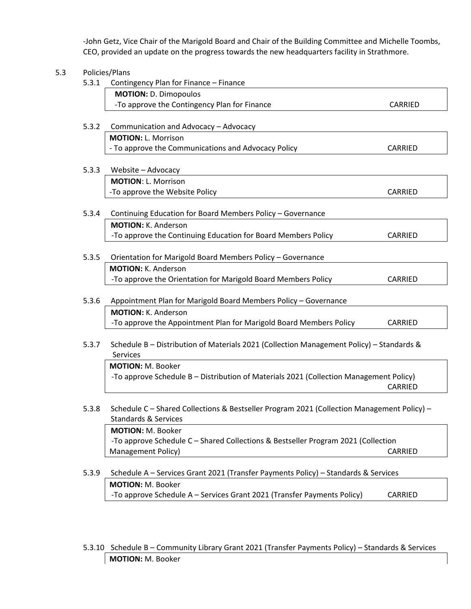-John Getz, Vice Chair of the Marigold Board and Chair of the Building Committee and Michelle Toombs, CEO, provided an update on the progress towards the new headquarters facility in Strathmore.

# 5.3 Policies/Plans 5.3.1 Contingency Plan for Finance – Finance **MOTION:** D. Dimopoulos -To approve the Contingency Plan for Finance CARRIED 5.3.2 Communication and Advocacy – Advocacy **MOTION:** L. Morrison - To approve the Communications and Advocacy Policy CARRIED 5.3.3 Website – Advocacy **MOTION**: L. Morrison -To approve the Website Policy CARRIED 5.3.4 Continuing Education for Board Members Policy – Governance **MOTION:** K. Anderson -To approve the Continuing Education for Board Members Policy CARRIED 5.3.5 Orientation for Marigold Board Members Policy – Governance **MOTION:** K. Anderson

-To approve the Orientation for Marigold Board Members Policy CARRIED

## 5.3.6 Appointment Plan for Marigold Board Members Policy – Governance **MOTION:** K. Anderson -To approve the Appointment Plan for Marigold Board Members Policy CARRIED

5.3.7 Schedule B – Distribution of Materials 2021 (Collection Management Policy) – Standards & **Services** 

**MOTION:** M. Booker -To approve Schedule B – Distribution of Materials 2021 (Collection Management Policy) CARRIED

5.3.8 Schedule C – Shared Collections & Bestseller Program 2021 (Collection Management Policy) – Standards & Services

**MOTION:** M. Booker -To approve Schedule C – Shared Collections & Bestseller Program 2021 (Collection Management Policy) and the contract of the contract of the contract of the contract of the contract of the contract of the contract of the contract of the contract of the contract of the contract of the contract of the con

## 5.3.9 Schedule A – Services Grant 2021 (Transfer Payments Policy) – Standards & Services **MOTION:** M. Booker -To approve Schedule A – Services Grant 2021 (Transfer Payments Policy) CARRIED

5.3.10 Schedule B – Community Library Grant 2021 (Transfer Payments Policy) – Standards & Services **MOTION:** M. Booker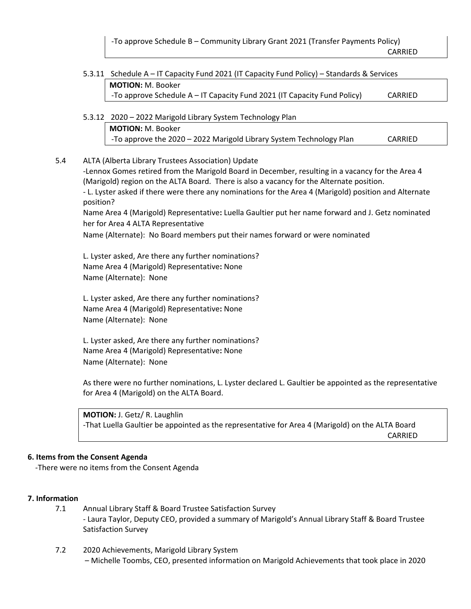-To approve Schedule B – Community Library Grant 2021 (Transfer Payments Policy) CARRIED

5.3.11 Schedule A – IT Capacity Fund 2021 (IT Capacity Fund Policy) – Standards & Services **MOTION:** M. Booker -To approve Schedule A – IT Capacity Fund 2021 (IT Capacity Fund Policy) CARRIED

5.3.12 2020 – 2022 Marigold Library System Technology Plan **MOTION:** M. Booker -To approve the 2020 – 2022 Marigold Library System Technology Plan CARRIED

5.4 ALTA (Alberta Library Trustees Association) Update

-Lennox Gomes retired from the Marigold Board in December, resulting in a vacancy for the Area 4 (Marigold) region on the ALTA Board. There is also a vacancy for the Alternate position. - L. Lyster asked if there were there any nominations for the Area 4 (Marigold) position and Alternate position?

Name Area 4 (Marigold) Representative**:** Luella Gaultier put her name forward and J. Getz nominated her for Area 4 ALTA Representative

Name (Alternate): No Board members put their names forward or were nominated

L. Lyster asked, Are there any further nominations? Name Area 4 (Marigold) Representative**:** None Name (Alternate): None

L. Lyster asked, Are there any further nominations? Name Area 4 (Marigold) Representative**:** None Name (Alternate): None

L. Lyster asked, Are there any further nominations? Name Area 4 (Marigold) Representative**:** None Name (Alternate): None

As there were no further nominations, L. Lyster declared L. Gaultier be appointed as the representative for Area 4 (Marigold) on the ALTA Board.

**MOTION:** J. Getz/ R. Laughlin -That Luella Gaultier be appointed as the representative for Area 4 (Marigold) on the ALTA Board CARRIED

#### **6. Items from the Consent Agenda**

-There were no items from the Consent Agenda

#### **7. Information**

- 7.1 Annual Library Staff & Board Trustee Satisfaction Survey - Laura Taylor, Deputy CEO, provided a summary of Marigold's Annual Library Staff & Board Trustee Satisfaction Survey
- 7.2 2020 Achievements, Marigold Library System – Michelle Toombs, CEO, presented information on Marigold Achievements that took place in 2020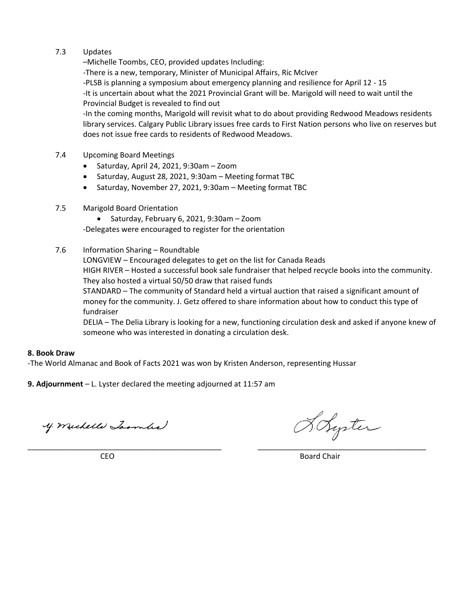### 7.3 Updates

–Michelle Toombs, CEO, provided updates Including:

-There is a new, temporary, Minister of Municipal Affairs, Ric McIver

-PLSB is planning a symposium about emergency planning and resilience for April 12 - 15

-It is uncertain about what the 2021 Provincial Grant will be. Marigold will need to wait until the Provincial Budget is revealed to find out

-In the coming months, Marigold will revisit what to do about providing Redwood Meadows residents library services. Calgary Public Library issues free cards to First Nation persons who live on reserves but does not issue free cards to residents of Redwood Meadows.

#### 7.4 Upcoming Board Meetings

- Saturday, April 24, 2021, 9:30am Zoom
- Saturday, August 28, 2021, 9:30am Meeting format TBC
- Saturday, November 27, 2021, 9:30am Meeting format TBC

#### 7.5 Marigold Board Orientation

• Saturday, February 6, 2021, 9:30am – Zoom

-Delegates were encouraged to register for the orientation

#### 7.6 Information Sharing – Roundtable

LONGVIEW – Encouraged delegates to get on the list for Canada Reads HIGH RIVER – Hosted a successful book sale fundraiser that helped recycle books into the community. They also hosted a virtual 50/50 draw that raised funds STANDARD – The community of Standard held a virtual auction that raised a significant amount of

money for the community. J. Getz offered to share information about how to conduct this type of fundraiser

DELIA – The Delia Library is looking for a new, functioning circulation desk and asked if anyone knew of someone who was interested in donating a circulation desk.

#### **8. Book Draw**

-The World Almanac and Book of Facts 2021 was won by Kristen Anderson, representing Hussar

**9. Adjournment** – L. Lyster declared the meeting adjourned at 11:57 am

y. michelle Lasmbe

H. Syrter

\_\_\_\_\_\_\_\_\_\_\_\_\_\_\_\_\_\_\_\_\_\_\_\_\_\_\_\_\_\_\_\_\_\_\_\_\_\_\_\_\_\_\_\_\_\_ \_\_\_\_\_\_\_\_\_\_\_\_\_\_\_\_\_\_\_\_\_\_\_\_\_\_\_\_\_\_\_\_\_\_\_\_\_\_\_\_ **CEO** Board Chair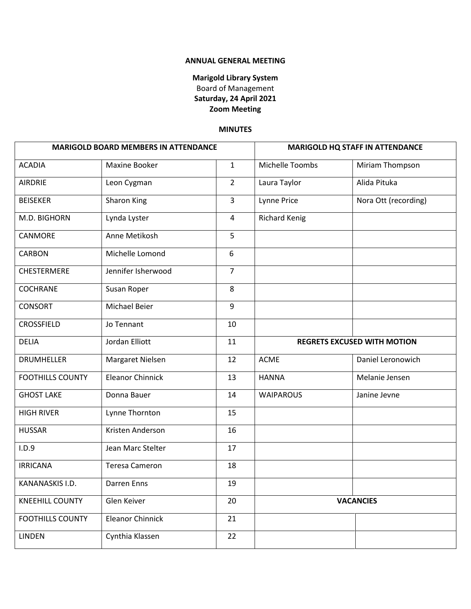#### **ANNUAL GENERAL MEETING**

## **Marigold Library System** Board of Management **Saturday, 24 April 2021 Zoom Meeting**

#### **MINUTES**

| <b>MARIGOLD BOARD MEMBERS IN ATTENDANCE</b> |                         |                |                                    | <b>MARIGOLD HQ STAFF IN ATTENDANCE</b> |
|---------------------------------------------|-------------------------|----------------|------------------------------------|----------------------------------------|
| <b>ACADIA</b>                               | Maxine Booker           | $\mathbf{1}$   | Michelle Toombs                    | Miriam Thompson                        |
| <b>AIRDRIE</b>                              | Leon Cygman             | $\overline{2}$ | Laura Taylor                       | Alida Pituka                           |
| <b>BEISEKER</b>                             | Sharon King             | $\overline{3}$ | <b>Lynne Price</b>                 | Nora Ott (recording)                   |
| M.D. BIGHORN                                | Lynda Lyster            | $\overline{4}$ | <b>Richard Kenig</b>               |                                        |
| CANMORE                                     | Anne Metikosh           | 5              |                                    |                                        |
| <b>CARBON</b>                               | Michelle Lomond         | 6              |                                    |                                        |
| CHESTERMERE                                 | Jennifer Isherwood      | $\overline{7}$ |                                    |                                        |
| <b>COCHRANE</b>                             | Susan Roper             | 8              |                                    |                                        |
| <b>CONSORT</b>                              | Michael Beier           | 9              |                                    |                                        |
| <b>CROSSFIELD</b>                           | Jo Tennant              | 10             |                                    |                                        |
| <b>DELIA</b>                                | Jordan Elliott          | 11             | <b>REGRETS EXCUSED WITH MOTION</b> |                                        |
| <b>DRUMHELLER</b>                           | Margaret Nielsen        | 12             | <b>ACME</b>                        | Daniel Leronowich                      |
| <b>FOOTHILLS COUNTY</b>                     | <b>Eleanor Chinnick</b> | 13             | <b>HANNA</b>                       | Melanie Jensen                         |
| <b>GHOST LAKE</b>                           | Donna Bauer             | 14             | <b>WAIPAROUS</b>                   | Janine Jevne                           |
| <b>HIGH RIVER</b>                           | Lynne Thornton          | 15             |                                    |                                        |
| <b>HUSSAR</b>                               | Kristen Anderson        | 16             |                                    |                                        |
| I.D.9                                       | Jean Marc Stelter       | 17             |                                    |                                        |
| <b>IRRICANA</b>                             | <b>Teresa Cameron</b>   | 18             |                                    |                                        |
| KANANASKIS I.D.                             | Darren Enns             | 19             |                                    |                                        |
| <b>KNEEHILL COUNTY</b>                      | Glen Keiver             | 20             |                                    | <b>VACANCIES</b>                       |
| <b>FOOTHILLS COUNTY</b>                     | <b>Eleanor Chinnick</b> | 21             |                                    |                                        |
| <b>LINDEN</b>                               | Cynthia Klassen         | 22             |                                    |                                        |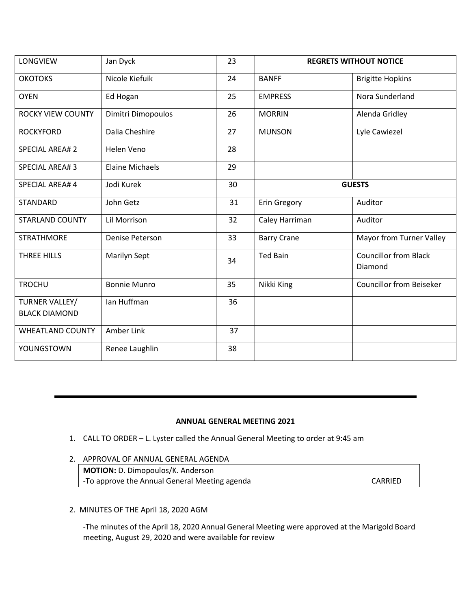| LONGVIEW                               | Jan Dyck               | 23 | <b>REGRETS WITHOUT NOTICE</b> |                                         |
|----------------------------------------|------------------------|----|-------------------------------|-----------------------------------------|
| <b>ОКОТОКЅ</b>                         | Nicole Kiefuik         | 24 | <b>BANFF</b>                  | <b>Brigitte Hopkins</b>                 |
| <b>OYEN</b>                            | Ed Hogan               | 25 | <b>EMPRESS</b>                | Nora Sunderland                         |
| <b>ROCKY VIEW COUNTY</b>               | Dimitri Dimopoulos     | 26 | <b>MORRIN</b>                 | Alenda Gridley                          |
| <b>ROCKYFORD</b>                       | Dalia Cheshire         | 27 | <b>MUNSON</b>                 | Lyle Cawiezel                           |
| <b>SPECIAL AREA#2</b>                  | Helen Veno             | 28 |                               |                                         |
| <b>SPECIAL AREA#3</b>                  | <b>Elaine Michaels</b> | 29 |                               |                                         |
| SPECIAL AREA# 4                        | Jodi Kurek             | 30 | <b>GUESTS</b>                 |                                         |
| <b>STANDARD</b>                        | John Getz              | 31 | <b>Erin Gregory</b>           | Auditor                                 |
| <b>STARLAND COUNTY</b>                 | Lil Morrison           | 32 | Caley Harriman                | Auditor                                 |
| <b>STRATHMORE</b>                      | Denise Peterson        | 33 | <b>Barry Crane</b>            | Mayor from Turner Valley                |
| THREE HILLS                            | <b>Marilyn Sept</b>    | 34 | <b>Ted Bain</b>               | <b>Councillor from Black</b><br>Diamond |
| <b>TROCHU</b>                          | <b>Bonnie Munro</b>    | 35 | Nikki King                    | <b>Councillor from Beiseker</b>         |
| TURNER VALLEY/<br><b>BLACK DIAMOND</b> | Ian Huffman            | 36 |                               |                                         |
| <b>WHEATLAND COUNTY</b>                | Amber Link             | 37 |                               |                                         |
| YOUNGSTOWN                             | Renee Laughlin         | 38 |                               |                                         |

## **ANNUAL GENERAL MEETING 2021**

- 1. CALL TO ORDER L. Lyster called the Annual General Meeting to order at 9:45 am
- 2. APPROVAL OF ANNUAL GENERAL AGENDA

**MOTION:** D. Dimopoulos/K. Anderson -To approve the Annual General Meeting agenda **CARRIED** 

2. MINUTES OF THE April 18, 2020 AGM

-The minutes of the April 18, 2020 Annual General Meeting were approved at the Marigold Board meeting, August 29, 2020 and were available for review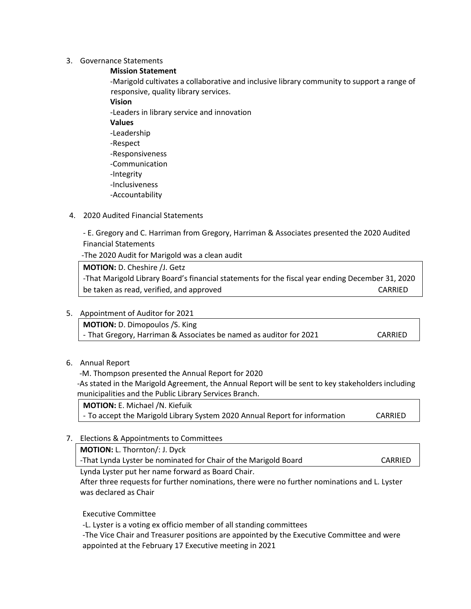#### 3. Governance Statements

**Mission Statement**

-Marigold cultivates a collaborative and inclusive library community to support a range of responsive, quality library services.

- **Vision** -Leaders in library service and innovation **Values** -Leadership -Respect -Responsiveness -Communication -Integrity -Inclusiveness -Accountability
- 4. 2020 Audited Financial Statements

- E. Gregory and C. Harriman from Gregory, Harriman & Associates presented the 2020 Audited Financial Statements

-The 2020 Audit for Marigold was a clean audit

**MOTION:** D. Cheshire /J. Getz -That Marigold Library Board's financial statements for the fiscal year ending December 31, 2020 be taken as read, verified, and approved example the control of the CARRIED CARRIED

5. Appointment of Auditor for 2021

**MOTION:** D. Dimopoulos /S. King

- That Gregory, Harriman & Associates be named as auditor for 2021 CARRIED

6. Annual Report

-M. Thompson presented the Annual Report for 2020

-As stated in the Marigold Agreement, the Annual Report will be sent to key stakeholders including municipalities and the Public Library Services Branch.

**MOTION:** E. Michael /N. Kiefuik - To accept the Marigold Library System 2020 Annual Report for information CARRIED

7. Elections & Appointments to Committees

**MOTION:** L. Thornton/: J. Dyck

-That Lynda Lyster be nominated for Chair of the Marigold Board CARRIED

Lynda Lyster put her name forward as Board Chair.

After three requests for further nominations, there were no further nominations and L. Lyster was declared as Chair

Executive Committee

-L. Lyster is a voting ex officio member of all standing committees

-The Vice Chair and Treasurer positions are appointed by the Executive Committee and were appointed at the February 17 Executive meeting in 2021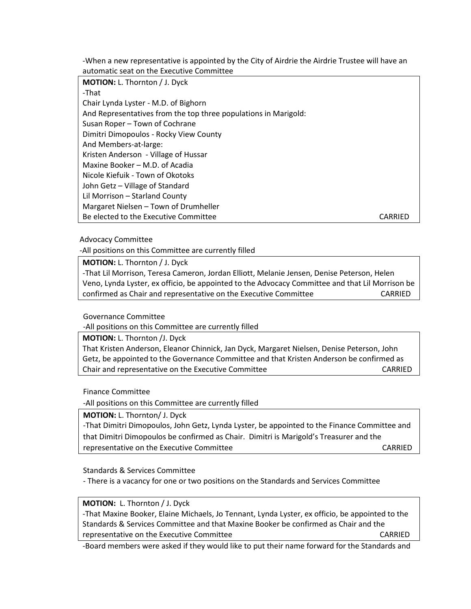-When a new representative is appointed by the City of Airdrie the Airdrie Trustee will have an automatic seat on the Executive Committee

**MOTION:** L. Thornton / J. Dyck -That Chair Lynda Lyster - M.D. of Bighorn And Representatives from the top three populations in Marigold: Susan Roper – Town of Cochrane Dimitri Dimopoulos - Rocky View County And Members-at-large: Kristen Anderson - Village of Hussar Maxine Booker – M.D. of Acadia Nicole Kiefuik - Town of Okotoks John Getz – Village of Standard Lil Morrison – Starland County Margaret Nielsen – Town of Drumheller Be elected to the Executive Committee CARRIED CARRIED

Advocacy Committee

-All positions on this Committee are currently filled

**MOTION:** L. Thornton / J. Dyck

-That Lil Morrison, Teresa Cameron, Jordan Elliott, Melanie Jensen, Denise Peterson, Helen Veno, Lynda Lyster, ex officio, be appointed to the Advocacy Committee and that Lil Morrison be confirmed as Chair and representative on the Executive Committee CARRIED

Governance Committee

-All positions on this Committee are currently filled

**MOTION:** L. Thornton /J. Dyck

That Kristen Anderson, Eleanor Chinnick, Jan Dyck, Margaret Nielsen, Denise Peterson, John Getz, be appointed to the Governance Committee and that Kristen Anderson be confirmed as Chair and representative on the Executive Committee CARRIED CARRIED

Finance Committee

-All positions on this Committee are currently filled

**MOTION:** L. Thornton/ J. Dyck

| -That Dimitri Dimopoulos, John Getz, Lynda Lyster, be appointed to the Finance Committee and |         |  |  |  |
|----------------------------------------------------------------------------------------------|---------|--|--|--|
| that Dimitri Dimopoulos be confirmed as Chair. Dimitri is Marigold's Treasurer and the       |         |  |  |  |
| representative on the Executive Committee                                                    | CARRIED |  |  |  |

Standards & Services Committee

- There is a vacancy for one or two positions on the Standards and Services Committee

**MOTION:** L. Thornton / J. Dyck

-That Maxine Booker, Elaine Michaels, Jo Tennant, Lynda Lyster, ex officio, be appointed to the Standards & Services Committee and that Maxine Booker be confirmed as Chair and the representative on the Executive Committee The CARRIED CARRIED

-Board members were asked if they would like to put their name forward for the Standards and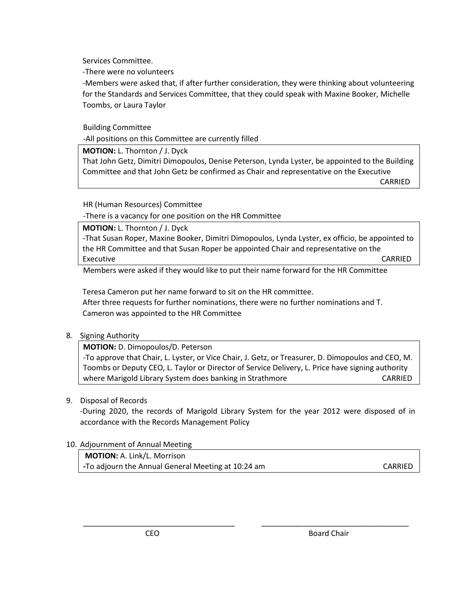Services Committee.

-There were no volunteers

-Members were asked that, if after further consideration, they were thinking about volunteering for the Standards and Services Committee, that they could speak with Maxine Booker, Michelle Toombs, or Laura Taylor

Building Committee

-All positions on this Committee are currently filled

**MOTION:** L. Thornton / J. Dyck

That John Getz, Dimitri Dimopoulos, Denise Peterson, Lynda Lyster, be appointed to the Building Committee and that John Getz be confirmed as Chair and representative on the Executive

**CARRIED** 

HR (Human Resources) Committee

-There is a vacancy for one position on the HR Committee

**MOTION:** L. Thornton / J. Dyck

-That Susan Roper, Maxine Booker, Dimitri Dimopoulos, Lynda Lyster, ex officio, be appointed to the HR Committee and that Susan Roper be appointed Chair and representative on the Executive CARRIED

Members were asked if they would like to put their name forward for the HR Committee

Teresa Cameron put her name forward to sit on the HR committee. After three requests for further nominations, there were no further nominations and T. Cameron was appointed to the HR Committee

## 8. Signing Authority

**MOTION:** D. Dimopoulos/D. Peterson

-To approve that Chair, L. Lyster, or Vice Chair, J. Getz, or Treasurer, D. Dimopoulos and CEO, M. Toombs or Deputy CEO, L. Taylor or Director of Service Delivery, L. Price have signing authority where Marigold Library System does banking in Strathmore Theorem CARRIED

## 9. Disposal of Records

-During 2020, the records of Marigold Library System for the year 2012 were disposed of in accordance with the Records Management Policy

\_\_\_\_\_\_\_\_\_\_\_\_\_\_\_\_\_\_\_\_\_\_\_\_\_\_\_\_\_\_\_\_\_\_\_\_ \_\_\_\_\_\_\_\_\_\_\_\_\_\_\_\_\_\_\_\_\_\_\_\_\_\_\_\_\_\_\_\_\_\_\_

## 10. Adjournment of Annual Meeting

**MOTION:** A. Link/L. Morrison **-To adjourn the Annual General Meeting at 10:24 am CARRIED**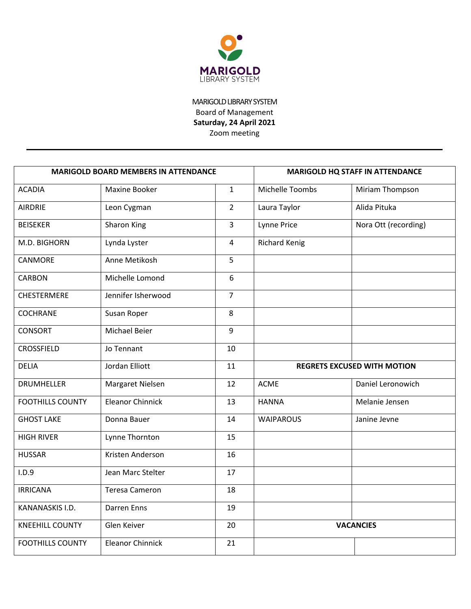

MARIGOLD LIBRARY SYSTEM Board of Management **Saturday, 24 April 2021** Zoom meeting

| <b>MARIGOLD BOARD MEMBERS IN ATTENDANCE</b> |                         |                |                                    | <b>MARIGOLD HQ STAFF IN ATTENDANCE</b> |
|---------------------------------------------|-------------------------|----------------|------------------------------------|----------------------------------------|
| <b>ACADIA</b>                               | Maxine Booker           | $\mathbf{1}$   | Michelle Toombs                    | Miriam Thompson                        |
| <b>AIRDRIE</b>                              | Leon Cygman             | $\overline{2}$ | Laura Taylor                       | Alida Pituka                           |
| <b>BEISEKER</b>                             | Sharon King             | $\overline{3}$ | Lynne Price                        | Nora Ott (recording)                   |
| M.D. BIGHORN                                | Lynda Lyster            | 4              | <b>Richard Kenig</b>               |                                        |
| CANMORE                                     | Anne Metikosh           | 5              |                                    |                                        |
| <b>CARBON</b>                               | Michelle Lomond         | 6              |                                    |                                        |
| <b>CHESTERMERE</b>                          | Jennifer Isherwood      | $\overline{7}$ |                                    |                                        |
| <b>COCHRANE</b>                             | Susan Roper             | 8              |                                    |                                        |
| <b>CONSORT</b>                              | Michael Beier           | 9              |                                    |                                        |
| <b>CROSSFIELD</b>                           | Jo Tennant              | 10             |                                    |                                        |
| <b>DELIA</b>                                | Jordan Elliott          | 11             | <b>REGRETS EXCUSED WITH MOTION</b> |                                        |
| <b>DRUMHELLER</b>                           | Margaret Nielsen        | 12             | <b>ACME</b>                        | Daniel Leronowich                      |
| <b>FOOTHILLS COUNTY</b>                     | <b>Eleanor Chinnick</b> | 13             | <b>HANNA</b>                       | Melanie Jensen                         |
| <b>GHOST LAKE</b>                           | Donna Bauer             | 14             | <b>WAIPAROUS</b>                   | Janine Jevne                           |
| <b>HIGH RIVER</b>                           | Lynne Thornton          | 15             |                                    |                                        |
| <b>HUSSAR</b>                               | Kristen Anderson        | 16             |                                    |                                        |
| I.D.9                                       | Jean Marc Stelter       | 17             |                                    |                                        |
| <b>IRRICANA</b>                             | <b>Teresa Cameron</b>   | 18             |                                    |                                        |
| KANANASKIS I.D.                             | <b>Darren Enns</b>      | 19             |                                    |                                        |
| <b>KNEEHILL COUNTY</b>                      | Glen Keiver             | 20             |                                    | <b>VACANCIES</b>                       |
| <b>FOOTHILLS COUNTY</b>                     | <b>Eleanor Chinnick</b> | 21             |                                    |                                        |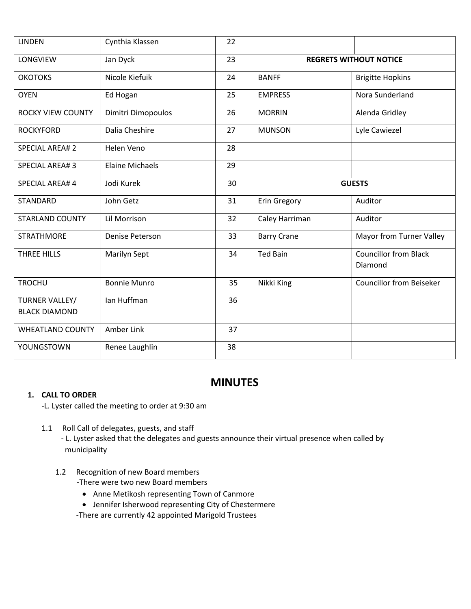| <b>LINDEN</b>                          | Cynthia Klassen        | 22 |                               |                                         |
|----------------------------------------|------------------------|----|-------------------------------|-----------------------------------------|
| LONGVIEW                               | Jan Dyck               | 23 | <b>REGRETS WITHOUT NOTICE</b> |                                         |
| <b>ОКОТОКЅ</b>                         | Nicole Kiefuik         | 24 | <b>BANFF</b>                  | <b>Brigitte Hopkins</b>                 |
| <b>OYEN</b>                            | Ed Hogan               | 25 | <b>EMPRESS</b>                | Nora Sunderland                         |
| <b>ROCKY VIEW COUNTY</b>               | Dimitri Dimopoulos     | 26 | <b>MORRIN</b>                 | Alenda Gridley                          |
| <b>ROCKYFORD</b>                       | Dalia Cheshire         | 27 | <b>MUNSON</b>                 | Lyle Cawiezel                           |
| <b>SPECIAL AREA#2</b>                  | Helen Veno             | 28 |                               |                                         |
| <b>SPECIAL AREA#3</b>                  | <b>Elaine Michaels</b> | 29 |                               |                                         |
| <b>SPECIAL AREA#4</b>                  | Jodi Kurek             | 30 | <b>GUESTS</b>                 |                                         |
| <b>STANDARD</b>                        | John Getz              | 31 | <b>Erin Gregory</b>           | Auditor                                 |
| <b>STARLAND COUNTY</b>                 | Lil Morrison           | 32 | Caley Harriman                | Auditor                                 |
| <b>STRATHMORE</b>                      | Denise Peterson        | 33 | <b>Barry Crane</b>            | Mayor from Turner Valley                |
| THREE HILLS                            | Marilyn Sept           | 34 | <b>Ted Bain</b>               | <b>Councillor from Black</b><br>Diamond |
| <b>TROCHU</b>                          | <b>Bonnie Munro</b>    | 35 | Nikki King                    | <b>Councillor from Beiseker</b>         |
| TURNER VALLEY/<br><b>BLACK DIAMOND</b> | lan Huffman            | 36 |                               |                                         |
| <b>WHEATLAND COUNTY</b>                | Amber Link             | 37 |                               |                                         |
| YOUNGSTOWN                             | Renee Laughlin         | 38 |                               |                                         |

## **MINUTES**

## **1. CALL TO ORDER**

-L. Lyster called the meeting to order at 9:30 am

1.1 Roll Call of delegates, guests, and staff

- L. Lyster asked that the delegates and guests announce their virtual presence when called by municipality

# 1.2 Recognition of new Board members

-There were two new Board members

- Anne Metikosh representing Town of Canmore
- Jennifer Isherwood representing City of Chestermere

-There are currently 42 appointed Marigold Trustees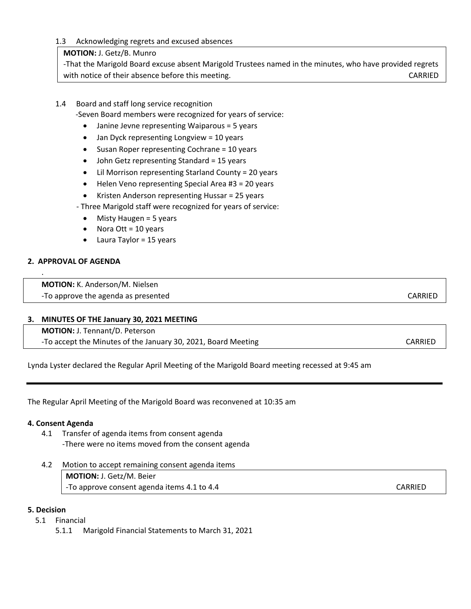#### 1.3 Acknowledging regrets and excused absences

#### **MOTION:** J. Getz/B. Munro

-That the Marigold Board excuse absent Marigold Trustees named in the minutes, who have provided regrets with notice of their absence before this meeting. The contract of the case of their absence before this meeting.

### 1.4 Board and staff long service recognition

-Seven Board members were recognized for years of service:

- Janine Jevne representing Waiparous = 5 years
- Jan Dyck representing Longview = 10 years
- Susan Roper representing Cochrane = 10 years
- John Getz representing Standard = 15 years
- Lil Morrison representing Starland County = 20 years
- Helen Veno representing Special Area #3 = 20 years
- Kristen Anderson representing Hussar = 25 years

- Three Marigold staff were recognized for years of service:

- Misty Haugen = 5 years
- Nora Ott = 10 years
- Laura Taylor = 15 years

#### **2. APPROVAL OF AGENDA**

.

**MOTION:** K. Anderson/M. Nielsen -To approve the agenda as presented care control of the control of the case of the case of the case of the case of the case of the case of the case of the case of the case of the case of the case of the case of the case of

#### **3. MINUTES OF THE January 30, 2021 MEETING**

**MOTION:** J. Tennant/D. Peterson

-To accept the Minutes of the January 30, 2021, Board Meeting CARRIED CARRIED

Lynda Lyster declared the Regular April Meeting of the Marigold Board meeting recessed at 9:45 am

The Regular April Meeting of the Marigold Board was reconvened at 10:35 am

#### **4. Consent Agenda**

- 4.1 Transfer of agenda items from consent agenda -There were no items moved from the consent agenda
- 4.2 Motion to accept remaining consent agenda items

**MOTION:** J. Getz/M. Beier -To approve consent agenda items 4.1 to 4.4 CARRIED

#### **5. Decision**

- 5.1 Financial
	- 5.1.1 Marigold Financial Statements to March 31, 2021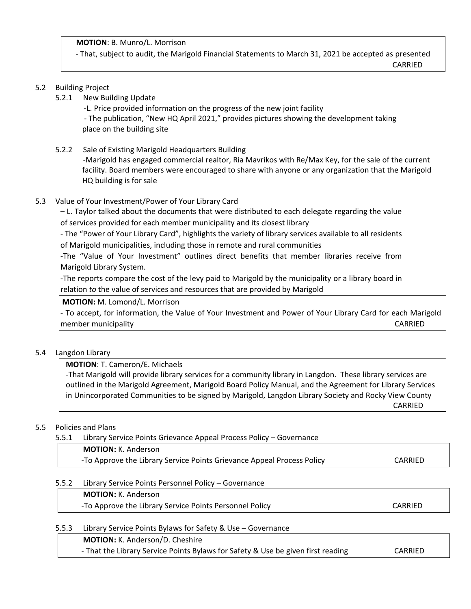**MOTION**: B. Munro/L. Morrison

- That, subject to audit, the Marigold Financial Statements to March 31, 2021 be accepted as presented

**CARRIED** 

#### 5.2 Building Project

5.2.1 New Building Update

-L. Price provided information on the progress of the new joint facility

- The publication, "New HQ April 2021," provides pictures showing the development taking place on the building site

5.2.2 Sale of Existing Marigold Headquarters Building

-Marigold has engaged commercial realtor, Ria Mavrikos with Re/Max Key, for the sale of the current facility. Board members were encouraged to share with anyone or any organization that the Marigold HQ building is for sale

5.3 Value of Your Investment/Power of Your Library Card

– L. Taylor talked about the documents that were distributed to each delegate regarding the value of services provided for each member municipality and its closest library

- The "Power of Your Library Card", highlights the variety of library services available to all residents of Marigold municipalities, including those in remote and rural communities

-The "Value of Your Investment" outlines direct benefits that member libraries receive from Marigold Library System.

-The reports compare the cost of the levy paid to Marigold by the municipality or a library board in relation *to* the value of services and resources that are provided by Marigold

**MOTION:** M. Lomond/L. Morrison

- To accept, for information, the Value of Your Investment and Power of Your Library Card for each Marigold member municipality and the control of the control of the control of the control of the control of the control o

## 5.4 Langdon Library

**MOTION**: T. Cameron/E. Michaels

-That Marigold will provide library services for a community library in Langdon. These library services are outlined in the Marigold Agreement, Marigold Board Policy Manual, and the Agreement for Library Services in Unincorporated Communities to be signed by Marigold, Langdon Library Society and Rocky View County CARRIED

## 5.5 Policies and Plans

5.5.1 Library Service Points Grievance Appeal Process Policy – Governance

| <b>MOTION:</b> K. Anderson                                             |         |
|------------------------------------------------------------------------|---------|
| -To Approve the Library Service Points Grievance Appeal Process Policy | CARRIED |

## 5.5.2 Library Service Points Personnel Policy – Governance

**MOTION:** K. Anderson -To Approve the Library Service Points Personnel Policy CARRIED

## 5.5.3 Library Service Points Bylaws for Safety & Use – Governance

**MOTION:** K. Anderson/D. Cheshire

- That the Library Service Points Bylaws for Safety & Use be given first reading CARRIED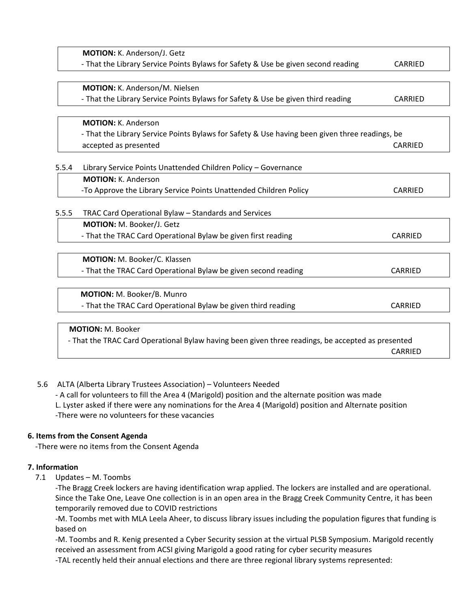|       | MOTION: K. Anderson/J. Getz                                                                       |         |
|-------|---------------------------------------------------------------------------------------------------|---------|
|       | - That the Library Service Points Bylaws for Safety & Use be given second reading                 | CARRIED |
|       | MOTION: K. Anderson/M. Nielsen                                                                    |         |
|       | - That the Library Service Points Bylaws for Safety & Use be given third reading                  | CARRIED |
|       | <b>MOTION: K. Anderson</b>                                                                        |         |
|       | - That the Library Service Points Bylaws for Safety & Use having been given three readings, be    |         |
|       | accepted as presented                                                                             | CARRIED |
|       |                                                                                                   |         |
| 5.5.4 | Library Service Points Unattended Children Policy - Governance                                    |         |
|       | <b>MOTION: K. Anderson</b>                                                                        |         |
|       | -To Approve the Library Service Points Unattended Children Policy                                 | CARRIED |
| 5.5.5 | TRAC Card Operational Bylaw - Standards and Services                                              |         |
|       | MOTION: M. Booker/J. Getz                                                                         |         |
|       | - That the TRAC Card Operational Bylaw be given first reading                                     | CARRIED |
|       | MOTION: M. Booker/C. Klassen                                                                      |         |
|       | - That the TRAC Card Operational Bylaw be given second reading                                    | CARRIED |
|       | MOTION: M. Booker/B. Munro                                                                        |         |
|       | - That the TRAC Card Operational Bylaw be given third reading                                     | CARRIED |
|       |                                                                                                   |         |
|       | <b>MOTION: M. Booker</b>                                                                          |         |
|       | - That the TRAC Card Operational Bylaw having been given three readings, be accepted as presented |         |
|       |                                                                                                   | CARRIED |

## 5.6 ALTA (Alberta Library Trustees Association) – Volunteers Needed

- A call for volunteers to fill the Area 4 (Marigold) position and the alternate position was made L. Lyster asked if there were any nominations for the Area 4 (Marigold) position and Alternate position -There were no volunteers for these vacancies

#### **6. Items from the Consent Agenda**

-There were no items from the Consent Agenda

## **7. Information**

7.1 Updates – M. Toombs

-The Bragg Creek lockers are having identification wrap applied. The lockers are installed and are operational. Since the Take One, Leave One collection is in an open area in the Bragg Creek Community Centre, it has been temporarily removed due to COVID restrictions

-M. Toombs met with MLA Leela Aheer, to discuss library issues including the population figures that funding is based on

-M. Toombs and R. Kenig presented a Cyber Security session at the virtual PLSB Symposium. Marigold recently received an assessment from ACSI giving Marigold a good rating for cyber security measures

-TAL recently held their annual elections and there are three regional library systems represented: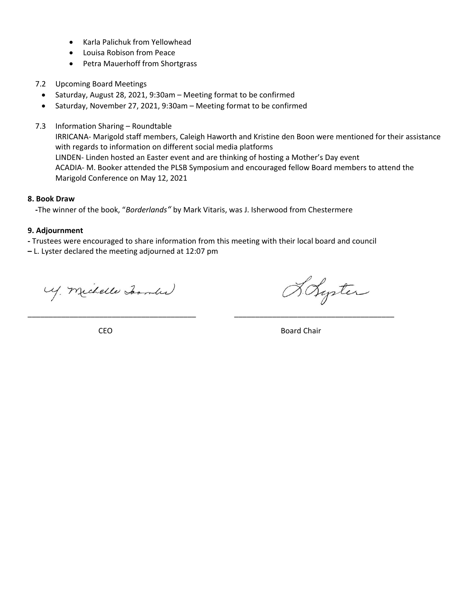- Karla Palichuk from Yellowhead
- Louisa Robison from Peace
- Petra Mauerhoff from Shortgrass
- 7.2 Upcoming Board Meetings
	- Saturday, August 28, 2021, 9:30am Meeting format to be confirmed
	- Saturday, November 27, 2021, 9:30am Meeting format to be confirmed
- 7.3 Information Sharing Roundtable

IRRICANA- Marigold staff members, Caleigh Haworth and Kristine den Boon were mentioned for their assistance with regards to information on different social media platforms LINDEN- Linden hosted an Easter event and are thinking of hosting a Mother's Day event ACADIA- M. Booker attended the PLSB Symposium and encouraged fellow Board members to attend the Marigold Conference on May 12, 2021

#### **8. Book Draw**

 **-**The winner of the book, "*Borderlands"* by Mark Vitaris, was J. Isherwood from Chestermere

#### **9. Adjournment**

**-** Trustees were encouraged to share information from this meeting with their local board and council

\_\_\_\_\_\_\_\_\_\_\_\_\_\_\_\_\_\_\_\_\_\_\_\_\_\_\_\_\_\_\_\_\_\_\_\_\_\_\_\_ \_\_\_\_\_\_\_\_\_\_\_\_\_\_\_\_\_\_\_\_\_\_\_\_\_\_\_\_\_\_\_\_\_\_\_\_\_\_

**–** L. Lyster declared the meeting adjourned at 12:07 pm

My. Michelle Joan (1)

Holyster

**CEO** Board Chair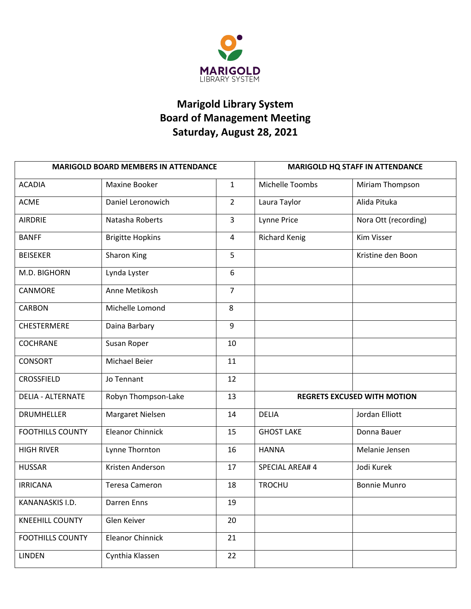

# **Marigold Library System Board of Management Meeting Saturday, August 28, 2021**

| <b>MARIGOLD BOARD MEMBERS IN ATTENDANCE</b> |                         |                | <b>MARIGOLD HQ STAFF IN ATTENDANCE</b><br>Miriam Thompson<br>Alida Pituka |                                    |
|---------------------------------------------|-------------------------|----------------|---------------------------------------------------------------------------|------------------------------------|
| <b>ACADIA</b>                               | Maxine Booker           | $\mathbf{1}$   | Michelle Toombs                                                           |                                    |
| <b>ACME</b>                                 | Daniel Leronowich       | $\overline{2}$ | Laura Taylor                                                              |                                    |
| <b>AIRDRIE</b>                              | Natasha Roberts         | 3              | Lynne Price                                                               | Nora Ott (recording)               |
| <b>BANFF</b>                                | <b>Brigitte Hopkins</b> | 4              | <b>Richard Kenig</b>                                                      | Kim Visser                         |
| <b>BEISEKER</b>                             | Sharon King             | 5              |                                                                           | Kristine den Boon                  |
| M.D. BIGHORN                                | Lynda Lyster            | 6              |                                                                           |                                    |
| CANMORE                                     | Anne Metikosh           | 7              |                                                                           |                                    |
| <b>CARBON</b>                               | Michelle Lomond         | 8              |                                                                           |                                    |
| CHESTERMERE                                 | Daina Barbary           | 9              |                                                                           |                                    |
| <b>COCHRANE</b>                             | Susan Roper             | 10             |                                                                           |                                    |
| <b>CONSORT</b>                              | Michael Beier           | 11             |                                                                           |                                    |
| <b>CROSSFIELD</b>                           | Jo Tennant              | 12             |                                                                           |                                    |
| <b>DELIA - ALTERNATE</b>                    | Robyn Thompson-Lake     | 13             |                                                                           | <b>REGRETS EXCUSED WITH MOTION</b> |
| <b>DRUMHELLER</b>                           | Margaret Nielsen        | 14             | <b>DELIA</b>                                                              | Jordan Elliott                     |
| <b>FOOTHILLS COUNTY</b>                     | <b>Eleanor Chinnick</b> | 15             | <b>GHOST LAKE</b>                                                         | Donna Bauer                        |
| <b>HIGH RIVER</b>                           | Lynne Thornton          | 16             | <b>HANNA</b>                                                              | Melanie Jensen                     |
| <b>HUSSAR</b>                               | Kristen Anderson        | 17             | SPECIAL AREA# 4                                                           | Jodi Kurek                         |
| <b>IRRICANA</b>                             | <b>Teresa Cameron</b>   | 18             | <b>TROCHU</b>                                                             | <b>Bonnie Munro</b>                |
| KANANASKIS I.D.                             | Darren Enns             | 19             |                                                                           |                                    |
| <b>KNEEHILL COUNTY</b>                      | Glen Keiver             | 20             |                                                                           |                                    |
| <b>FOOTHILLS COUNTY</b>                     | <b>Eleanor Chinnick</b> | 21             |                                                                           |                                    |
| <b>LINDEN</b>                               | Cynthia Klassen         | 22             |                                                                           |                                    |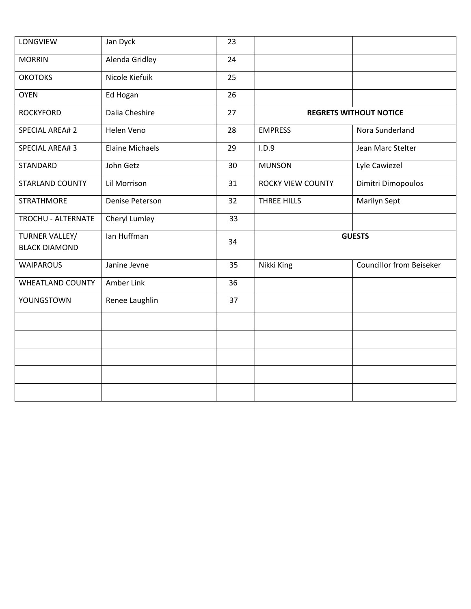| LONGVIEW                               | Jan Dyck               | 23 |                               |                                 |  |
|----------------------------------------|------------------------|----|-------------------------------|---------------------------------|--|
| <b>MORRIN</b>                          | Alenda Gridley         | 24 |                               |                                 |  |
| <b>OKOTOKS</b>                         | Nicole Kiefuik         | 25 |                               |                                 |  |
| <b>OYEN</b>                            | Ed Hogan               | 26 |                               |                                 |  |
| <b>ROCKYFORD</b>                       | Dalia Cheshire         | 27 | <b>REGRETS WITHOUT NOTICE</b> |                                 |  |
| <b>SPECIAL AREA#2</b>                  | <b>Helen Veno</b>      | 28 | <b>EMPRESS</b>                | Nora Sunderland                 |  |
| <b>SPECIAL AREA#3</b>                  | <b>Elaine Michaels</b> | 29 | I.D.9                         | Jean Marc Stelter               |  |
| STANDARD                               | John Getz              | 30 | <b>MUNSON</b>                 | Lyle Cawiezel                   |  |
| STARLAND COUNTY                        | Lil Morrison           | 31 | <b>ROCKY VIEW COUNTY</b>      | Dimitri Dimopoulos              |  |
| <b>STRATHMORE</b>                      | Denise Peterson        | 32 | THREE HILLS                   | Marilyn Sept                    |  |
| TROCHU - ALTERNATE                     | Cheryl Lumley          | 33 |                               |                                 |  |
| TURNER VALLEY/<br><b>BLACK DIAMOND</b> | Ian Huffman            | 34 | <b>GUESTS</b>                 |                                 |  |
| <b>WAIPAROUS</b>                       | Janine Jevne           | 35 | Nikki King                    | <b>Councillor from Beiseker</b> |  |
| <b>WHEATLAND COUNTY</b>                | Amber Link             | 36 |                               |                                 |  |
| YOUNGSTOWN                             | Renee Laughlin         | 37 |                               |                                 |  |
|                                        |                        |    |                               |                                 |  |
|                                        |                        |    |                               |                                 |  |
|                                        |                        |    |                               |                                 |  |
|                                        |                        |    |                               |                                 |  |
|                                        |                        |    |                               |                                 |  |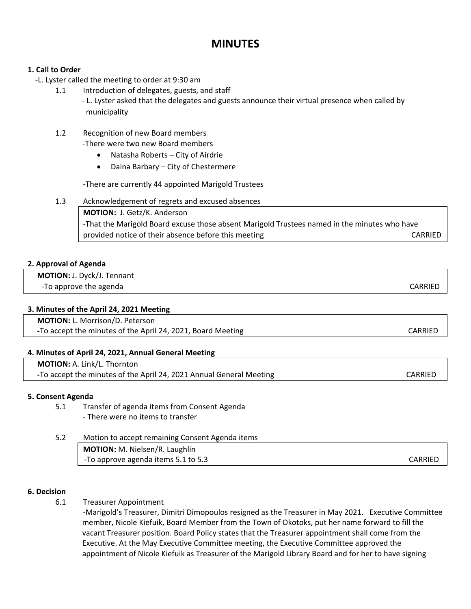## **MINUTES**

### **1. Call to Order**

- -L. Lyster called the meeting to order at 9:30 am
	- 1.1 Introduction of delegates, guests, and staff - L. Lyster asked that the delegates and guests announce their virtual presence when called by municipality

#### 1.2 Recognition of new Board members -There were two new Board members

- Natasha Roberts City of Airdrie
- Daina Barbary City of Chestermere

-There are currently 44 appointed Marigold Trustees

1.3 Acknowledgement of regrets and excused absences

**MOTION:** J. Getz/K. Anderson -That the Marigold Board excuse those absent Marigold Trustees named in the minutes who have provided notice of their absence before this meeting example of the CARRIED control of their absence before this meeting

#### **2. Approval of Agenda**

 **MOTION:** J. Dyck/J. Tennant -To approve the agenda CARRIED and the set of the control of the control of the case of the case of the case of the case of the case of the case of the case of the case of the case of the case of the case of the case of th

#### **3. Minutes of the April 24, 2021 Meeting**

 **MOTION:** L. Morrison/D. Peterson **The accept the minutes of the April 24, 2021, Board Meeting CARRIED** CARRIED

## **4. Minutes of April 24, 2021, Annual General Meeting**

| <b>MOTION: A. Link/L. Thornton</b>                                  |         |
|---------------------------------------------------------------------|---------|
| -To accept the minutes of the April 24, 2021 Annual General Meeting | CARRIED |

#### **5. Consent Agenda**

5.1 Transfer of agenda items from Consent Agenda - There were no items to transfer

| 5.2 | Motion to accept remaining Consent Agenda items |         |
|-----|-------------------------------------------------|---------|
|     | <b>MOTION:</b> M. Nielsen/R. Laughlin           |         |
|     | -To approve agenda items 5.1 to 5.3             | CARRIED |

#### **6. Decision**

6.1 Treasurer Appointment

-Marigold's Treasurer, Dimitri Dimopoulos resigned as the Treasurer in May 2021. Executive Committee member, Nicole Kiefuik, Board Member from the Town of Okotoks, put her name forward to fill the vacant Treasurer position. Board Policy states that the Treasurer appointment shall come from the Executive. At the May Executive Committee meeting, the Executive Committee approved the appointment of Nicole Kiefuik as Treasurer of the Marigold Library Board and for her to have signing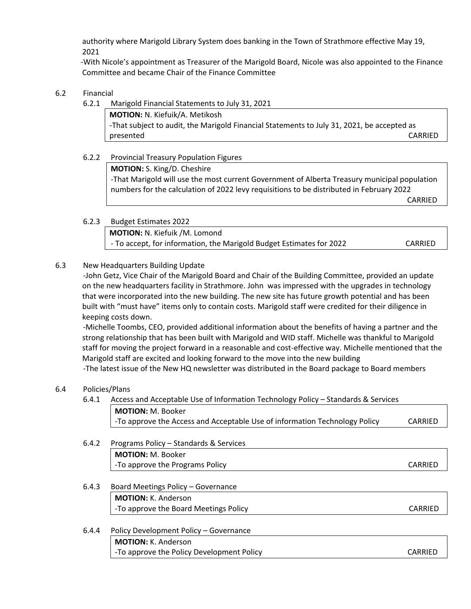authority where Marigold Library System does banking in the Town of Strathmore effective May 19, 2021

 -With Nicole's appointment as Treasurer of the Marigold Board, Nicole was also appointed to the Finance Committee and became Chair of the Finance Committee

## 6.2 Financial

6.2.1 Marigold Financial Statements to July 31, 2021

**MOTION:** N. Kiefuik/A. Metikosh -That subject to audit, the Marigold Financial Statements to July 31, 2021, be accepted as presented CARRIED

## 6.2.2 Provincial Treasury Population Figures

**MOTION:** S. King/D. Cheshire -That Marigold will use the most current Government of Alberta Treasury municipal population numbers for the calculation of 2022 levy requisitions to be distributed in February 2022 CARRIED

6.2.3 Budget Estimates 2022

**MOTION:** N. Kiefuik /M. Lomond - To accept, for information, the Marigold Budget Estimates for 2022 CARRIED

## 6.3 New Headquarters Building Update

-John Getz, Vice Chair of the Marigold Board and Chair of the Building Committee, provided an update on the new headquarters facility in Strathmore. John was impressed with the upgrades in technology that were incorporated into the new building. The new site has future growth potential and has been built with "must have" items only to contain costs. Marigold staff were credited for their diligence in keeping costs down.

-Michelle Toombs, CEO, provided additional information about the benefits of having a partner and the strong relationship that has been built with Marigold and WID staff. Michelle was thankful to Marigold staff for moving the project forward in a reasonable and cost-effective way. Michelle mentioned that the Marigold staff are excited and looking forward to the move into the new building

-The latest issue of the New HQ newsletter was distributed in the Board package to Board members

## 6.4 Policies/Plans

6.4.1 Access and Acceptable Use of Information Technology Policy – Standards & Services **MOTION:** M. B.

| <b>NIOTION:</b> M. Booker                                                               |         |
|-----------------------------------------------------------------------------------------|---------|
| <sup>1</sup> -To approve the Access and Acceptable Use of information Technology Policy | CARRIED |
|                                                                                         |         |

- 6.4.2 Programs Policy Standards & Services **MOTION:** M. Booker -To approve the Programs Policy CARRIED **CARRIED**
- 6.4.3 Board Meetings Policy Governance **MOTION:** K. Anderson -To approve the Board Meetings Policy CARRIED **CARRIED**

## 6.4.4 Policy Development Policy – Governance

**MOTION:** K. Anderson -To approve the Policy Development Policy CARRIED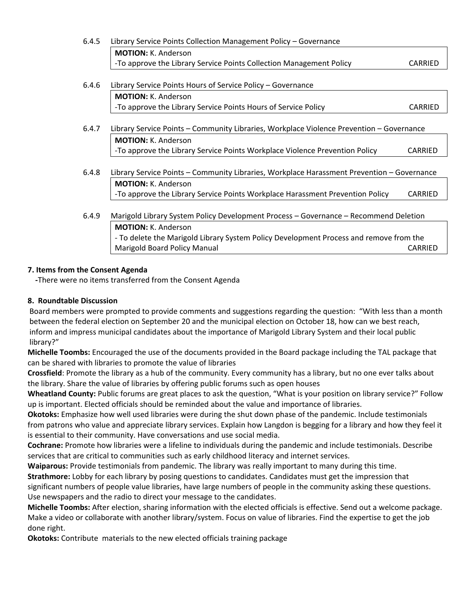| 6.4.5 | Library Service Points Collection Management Policy - Governance                           |         |  |  |
|-------|--------------------------------------------------------------------------------------------|---------|--|--|
|       | <b>MOTION: K. Anderson</b>                                                                 |         |  |  |
|       | -To approve the Library Service Points Collection Management Policy                        | CARRIED |  |  |
|       |                                                                                            |         |  |  |
| 6.4.6 | Library Service Points Hours of Service Policy - Governance                                |         |  |  |
|       | <b>MOTION: K. Anderson</b>                                                                 |         |  |  |
|       | -To approve the Library Service Points Hours of Service Policy                             | CARRIED |  |  |
|       |                                                                                            |         |  |  |
| 6.4.7 | Library Service Points - Community Libraries, Workplace Violence Prevention - Governance   |         |  |  |
|       | <b>MOTION: K. Anderson</b>                                                                 |         |  |  |
|       | -To approve the Library Service Points Workplace Violence Prevention Policy                | CARRIED |  |  |
|       |                                                                                            |         |  |  |
| 6.4.8 | Library Service Points - Community Libraries, Workplace Harassment Prevention - Governance |         |  |  |
|       | <b>MOTION: K. Anderson</b>                                                                 |         |  |  |
|       | -To approve the Library Service Points Workplace Harassment Prevention Policy              | CARRIED |  |  |
|       |                                                                                            |         |  |  |
| 6.4.9 | Marigold Library System Policy Development Process - Governance - Recommend Deletion       |         |  |  |
|       | <b>MOTION: K. Anderson</b>                                                                 |         |  |  |
|       | - To delete the Marigold Library System Policy Development Process and remove from the     |         |  |  |
|       | Marigold Board Policy Manual                                                               | CARRIED |  |  |

## **7. Items from the Consent Agenda**

 **-**There were no items transferred from the Consent Agenda

## **8. Roundtable Discussion**

Board members were prompted to provide comments and suggestions regarding the question: "With less than a month between the federal election on September 20 and the municipal election on October 18, how can we best reach, inform and impress municipal candidates about the importance of Marigold Library System and their local public library?"

**Michelle Toombs:** Encouraged the use of the documents provided in the Board package including the TAL package that can be shared with libraries to promote the value of libraries

**Crossfield**: Promote the library as a hub of the community. Every community has a library, but no one ever talks about the library. Share the value of libraries by offering public forums such as open houses

**Wheatland County:** Public forums are great places to ask the question, "What is your position on library service?" Follow up is important. Elected officials should be reminded about the value and importance of libraries.

**Okotoks:** Emphasize how well used libraries were during the shut down phase of the pandemic. Include testimonials from patrons who value and appreciate library services. Explain how Langdon is begging for a library and how they feel it is essential to their community. Have conversations and use social media.

**Cochrane:** Promote how libraries were a lifeline to individuals during the pandemic and include testimonials. Describe services that are critical to communities such as early childhood literacy and internet services.

**Waiparous:** Provide testimonials from pandemic. The library was really important to many during this time.

**Strathmore:** Lobby for each library by posing questions to candidates. Candidates must get the impression that

significant numbers of people value libraries, have large numbers of people in the community asking these questions. Use newspapers and the radio to direct your message to the candidates.

**Michelle Toombs:** After election, sharing information with the elected officials is effective. Send out a welcome package. Make a video or collaborate with another library/system. Focus on value of libraries. Find the expertise to get the job done right.

**Okotoks:** Contribute materials to the new elected officials training package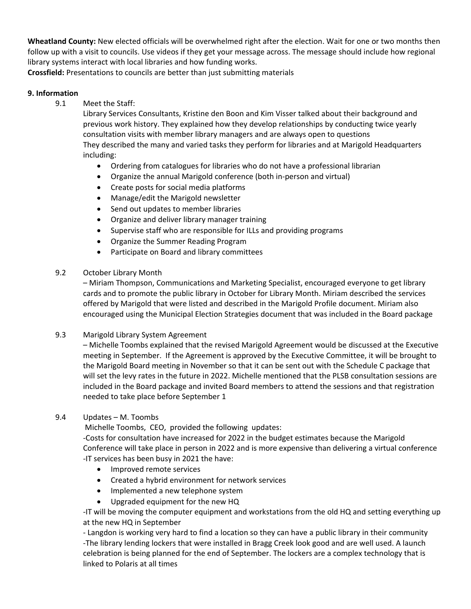**Wheatland County:** New elected officials will be overwhelmed right after the election. Wait for one or two months then follow up with a visit to councils. Use videos if they get your message across. The message should include how regional library systems interact with local libraries and how funding works.

**Crossfield:** Presentations to councils are better than just submitting materials

#### **9. Information**

9.1 Meet the Staff:

Library Services Consultants, Kristine den Boon and Kim Visser talked about their background and previous work history. They explained how they develop relationships by conducting twice yearly consultation visits with member library managers and are always open to questions They described the many and varied tasks they perform for libraries and at Marigold Headquarters including:

- Ordering from catalogues for libraries who do not have a professional librarian
- Organize the annual Marigold conference (both in-person and virtual)
- Create posts for social media platforms
- Manage/edit the Marigold newsletter
- Send out updates to member libraries
- Organize and deliver library manager training
- Supervise staff who are responsible for ILLs and providing programs
- Organize the Summer Reading Program
- Participate on Board and library committees

#### 9.2 October Library Month

– Miriam Thompson, Communications and Marketing Specialist, encouraged everyone to get library cards and to promote the public library in October for Library Month. Miriam described the services offered by Marigold that were listed and described in the Marigold Profile document. Miriam also encouraged using the Municipal Election Strategies document that was included in the Board package

#### 9.3 Marigold Library System Agreement

– Michelle Toombs explained that the revised Marigold Agreement would be discussed at the Executive meeting in September. If the Agreement is approved by the Executive Committee, it will be brought to the Marigold Board meeting in November so that it can be sent out with the Schedule C package that will set the levy rates in the future in 2022. Michelle mentioned that the PLSB consultation sessions are included in the Board package and invited Board members to attend the sessions and that registration needed to take place before September 1

#### 9.4 Updates – M. Toombs

Michelle Toombs, CEO, provided the following updates:

-Costs for consultation have increased for 2022 in the budget estimates because the Marigold Conference will take place in person in 2022 and is more expensive than delivering a virtual conference -IT services has been busy in 2021 the have:

- Improved remote services
- Created a hybrid environment for network services
- Implemented a new telephone system
- Upgraded equipment for the new HQ

-IT will be moving the computer equipment and workstations from the old HQ and setting everything up at the new HQ in September

- Langdon is working very hard to find a location so they can have a public library in their community -The library lending lockers that were installed in Bragg Creek look good and are well used. A launch celebration is being planned for the end of September. The lockers are a complex technology that is linked to Polaris at all times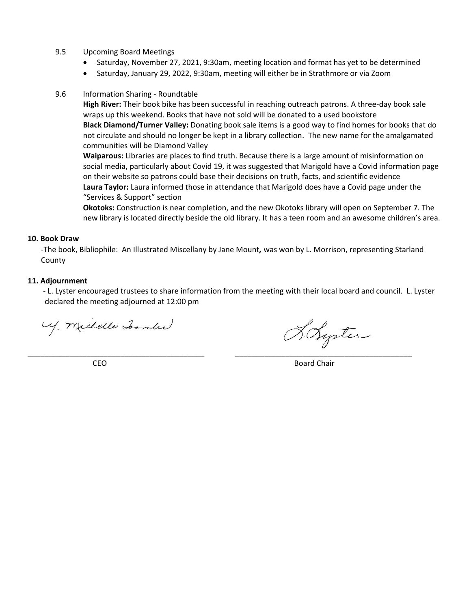#### 9.5 Upcoming Board Meetings

- Saturday, November 27, 2021, 9:30am, meeting location and format has yet to be determined
- Saturday, January 29, 2022, 9:30am, meeting will either be in Strathmore or via Zoom
- 9.6 Information Sharing Roundtable

**High River:** Their book bike has been successful in reaching outreach patrons. A three-day book sale wraps up this weekend. Books that have not sold will be donated to a used bookstore **Black Diamond/Turner Valley:** Donating book sale items is a good way to find homes for books that do not circulate and should no longer be kept in a library collection. The new name for the amalgamated communities will be Diamond Valley

**Waiparous:** Libraries are places to find truth. Because there is a large amount of misinformation on social media, particularly about Covid 19, it was suggested that Marigold have a Covid information page on their website so patrons could base their decisions on truth, facts, and scientific evidence **Laura Taylor:** Laura informed those in attendance that Marigold does have a Covid page under the "Services & Support" section

**Okotoks:** Construction is near completion, and the new Okotoks library will open on September 7. The new library is located directly beside the old library. It has a teen room and an awesome children's area.

#### **10. Book Draw**

-The book, Bibliophile: An Illustrated Miscellany by Jane Mount*,* was won by L. Morrison, representing Starland County

#### **11. Adjournment**

- L. Lyster encouraged trustees to share information from the meeting with their local board and council. L. Lyster declared the meeting adjourned at 12:00 pm

\_\_\_\_\_\_\_\_\_\_\_\_\_\_\_\_\_\_\_\_\_\_\_\_\_\_\_\_\_\_\_\_\_\_\_\_\_\_\_\_\_\_ \_\_\_\_\_\_\_\_\_\_\_\_\_\_\_\_\_\_\_\_\_\_\_\_\_\_\_\_\_\_\_\_\_\_\_\_\_\_\_\_\_\_

U. Michelle Joan (1)

Holyster

CEO Board Chair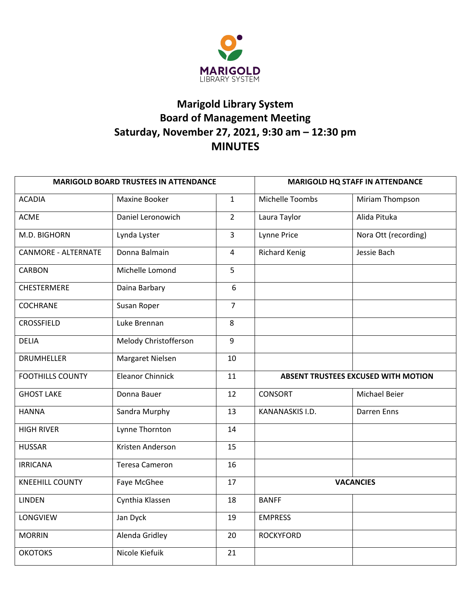

# **Marigold Library System Board of Management Meeting Saturday, November 27, 2021, 9:30 am – 12:30 pm MINUTES**

| <b>MARIGOLD BOARD TRUSTEES IN ATTENDANCE</b> |                       |                | <b>MARIGOLD HQ STAFF IN ATTENDANCE</b>     |                      |  |
|----------------------------------------------|-----------------------|----------------|--------------------------------------------|----------------------|--|
| <b>ACADIA</b>                                | Maxine Booker         | $\mathbf{1}$   | Michelle Toombs                            | Miriam Thompson      |  |
| <b>ACME</b>                                  | Daniel Leronowich     | $\overline{2}$ | Laura Taylor                               | Alida Pituka         |  |
| M.D. BIGHORN                                 | Lynda Lyster          | $\overline{3}$ | Lynne Price                                | Nora Ott (recording) |  |
| <b>CANMORE - ALTERNATE</b>                   | Donna Balmain         | $\overline{4}$ | <b>Richard Kenig</b>                       | Jessie Bach          |  |
| <b>CARBON</b>                                | Michelle Lomond       | 5              |                                            |                      |  |
| CHESTERMERE                                  | Daina Barbary         | 6              |                                            |                      |  |
| <b>COCHRANE</b>                              | Susan Roper           | $\overline{7}$ |                                            |                      |  |
| <b>CROSSFIELD</b>                            | Luke Brennan          | 8              |                                            |                      |  |
| <b>DELIA</b>                                 | Melody Christofferson | $\overline{9}$ |                                            |                      |  |
| <b>DRUMHELLER</b>                            | Margaret Nielsen      | 10             |                                            |                      |  |
| <b>FOOTHILLS COUNTY</b>                      | Eleanor Chinnick      | 11             | <b>ABSENT TRUSTEES EXCUSED WITH MOTION</b> |                      |  |
| <b>GHOST LAKE</b>                            | Donna Bauer           | 12             | CONSORT                                    | Michael Beier        |  |
| <b>HANNA</b>                                 | Sandra Murphy         | 13             | KANANASKIS I.D.                            | Darren Enns          |  |
| <b>HIGH RIVER</b>                            | Lynne Thornton        | 14             |                                            |                      |  |
| <b>HUSSAR</b>                                | Kristen Anderson      | 15             |                                            |                      |  |
| <b>IRRICANA</b>                              | <b>Teresa Cameron</b> | 16             |                                            |                      |  |
| <b>KNEEHILL COUNTY</b>                       | Faye McGhee           | 17             | <b>VACANCIES</b>                           |                      |  |
| <b>LINDEN</b>                                | Cynthia Klassen       | 18             | <b>BANFF</b>                               |                      |  |
| LONGVIEW                                     | Jan Dyck              | 19             | <b>EMPRESS</b>                             |                      |  |
| <b>MORRIN</b>                                | Alenda Gridley        | 20             | <b>ROCKYFORD</b>                           |                      |  |
| <b>ОКОТОКЅ</b>                               | Nicole Kiefuik        | 21             |                                            |                      |  |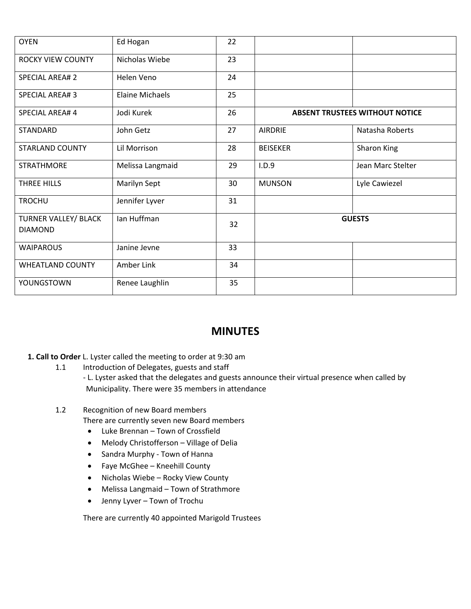| <b>OYEN</b>                                   | Ed Hogan               | 22 |                                       |                   |  |
|-----------------------------------------------|------------------------|----|---------------------------------------|-------------------|--|
| <b>ROCKY VIEW COUNTY</b>                      | Nicholas Wiebe         | 23 |                                       |                   |  |
| <b>SPECIAL AREA# 2</b>                        | Helen Veno             | 24 |                                       |                   |  |
| <b>SPECIAL AREA#3</b>                         | <b>Elaine Michaels</b> | 25 |                                       |                   |  |
| <b>SPECIAL AREA#4</b>                         | Jodi Kurek             | 26 | <b>ABSENT TRUSTEES WITHOUT NOTICE</b> |                   |  |
| <b>STANDARD</b>                               | John Getz              | 27 | <b>AIRDRIE</b>                        | Natasha Roberts   |  |
| <b>STARLAND COUNTY</b>                        | Lil Morrison           | 28 | <b>BEISEKER</b>                       | Sharon King       |  |
| <b>STRATHMORE</b>                             | Melissa Langmaid       | 29 | I.D.9                                 | Jean Marc Stelter |  |
| THREE HILLS                                   | Marilyn Sept           | 30 | <b>MUNSON</b>                         | Lyle Cawiezel     |  |
| <b>TROCHU</b>                                 | Jennifer Lyver         | 31 |                                       |                   |  |
| <b>TURNER VALLEY/ BLACK</b><br><b>DIAMOND</b> | lan Huffman            | 32 | <b>GUESTS</b>                         |                   |  |
| <b>WAIPAROUS</b>                              | Janine Jevne           | 33 |                                       |                   |  |
| <b>WHEATLAND COUNTY</b>                       | Amber Link             | 34 |                                       |                   |  |
| YOUNGSTOWN                                    | Renee Laughlin         | 35 |                                       |                   |  |

## **MINUTES**

## **1. Call to Order** L. Lyster called the meeting to order at 9:30 am

- 1.1 Introduction of Delegates, guests and staff
	- L. Lyster asked that the delegates and guests announce their virtual presence when called by Municipality. There were 35 members in attendance

## 1.2 Recognition of new Board members

- There are currently seven new Board members
- Luke Brennan Town of Crossfield
- Melody Christofferson Village of Delia
- Sandra Murphy Town of Hanna
- Faye McGhee Kneehill County
- Nicholas Wiebe Rocky View County
- Melissa Langmaid Town of Strathmore
- Jenny Lyver Town of Trochu

There are currently 40 appointed Marigold Trustees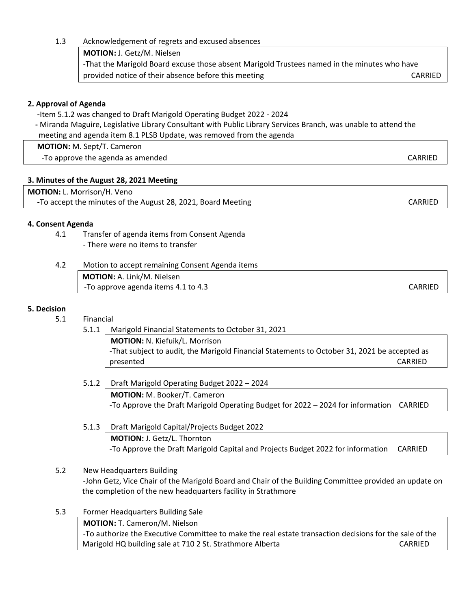1.3 Acknowledgement of regrets and excused absences **MOTION:** J. Getz/M. Nielsen -That the Marigold Board excuse those absent Marigold Trustees named in the minutes who have provided notice of their absence before this meeting entitled absolute the care CARRIED

## **2. Approval of Agenda**

 **-**Item 5.1.2 was changed to Draft Marigold Operating Budget 2022 - 2024  **-** Miranda Maguire, Legislative Library Consultant with Public Library Services Branch, was unable to attend the meeting and agenda item 8.1 PLSB Update, was removed from the agenda

 **MOTION:** M. Sept/T. Cameron

-To approve the agenda as amended and control of the control of the case of the case of the cARRIED of the case of the case of the case of the case of the case of the case of the case of the case of the case of the case of

## **3. Minutes of the August 28, 2021 Meeting**

| <b>MOTION: L. Morrison/H. Veno</b>                           |         |
|--------------------------------------------------------------|---------|
| -To accept the minutes of the August 28, 2021, Board Meeting | CARRIED |

## **4. Consent Agenda**

4.1 Transfer of agenda items from Consent Agenda - There were no items to transfer

| 4.2 | Motion to accept remaining Consent Agenda items |         |
|-----|-------------------------------------------------|---------|
|     | MOTION: A. Link/M. Nielsen                      |         |
|     | -To approve agenda items 4.1 to 4.3             | CARRIED |

#### **5. Decision**

- 5.1 Financial
	- 5.1.1 Marigold Financial Statements to October 31, 2021

**MOTION:** N. Kiefuik/L. Morrison -That subject to audit, the Marigold Financial Statements to October 31, 2021 be accepted as presented CARRIED

- 5.1.2 Draft Marigold Operating Budget 2022 2024 **MOTION:** M. Booker/T. Cameron -To Approve the Draft Marigold Operating Budget for 2022 – 2024 for information CARRIED
- 5.1.3 Draft Marigold Capital/Projects Budget 2022 **MOTION:** J. Getz/L. Thornton -To Approve the Draft Marigold Capital and Projects Budget 2022 for information CARRIED
- 5.2 New Headquarters Building -John Getz, Vice Chair of the Marigold Board and Chair of the Building Committee provided an update on the completion of the new headquarters facility in Strathmore
- 5.3 Former Headquarters Building Sale **MOTION:** T. Cameron/M. Nielson -To authorize the Executive Committee to make the real estate transaction decisions for the sale of the Marigold HQ building sale at 710 2 St. Strathmore Alberta CARRIED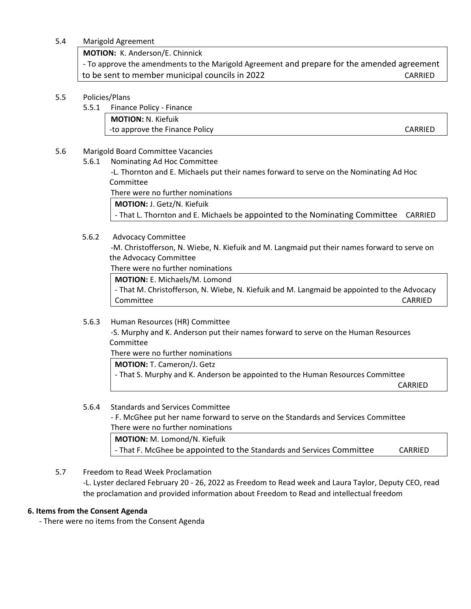#### 5.4 Marigold Agreement

**MOTION:** K. Anderson/E. Chinnick

- To approve the amendments to the Marigold Agreement and prepare for the amended agreement to be sent to member municipal councils in 2022 CARRIED

#### 5.5 Policies/Plans

5.5.1 Finance Policy - Finance

**MOTION:** N. Kiefuik -to approve the Finance Policy CARRIED

#### 5.6 Marigold Board Committee Vacancies

5.6.1 Nominating Ad Hoc Committee

-L. Thornton and E. Michaels put their names forward to serve on the Nominating Ad Hoc Committee

There were no further nominations

**MOTION:** J. Getz/N. Kiefuik

- That L. Thornton and E. Michaels be appointed to the Nominating Committee CARRIED

#### 5.6.2 Advocacy Committee

-M. Christofferson, N. Wiebe, N. Kiefuik and M. Langmaid put their names forward to serve on the Advocacy Committee

There were no further nominations

**MOTION:** E. Michaels/M. Lomond

- That M. Christofferson, N. Wiebe, N. Kiefuik and M. Langmaid be appointed to the Advocacy Committee CARRIED

#### 5.6.3 Human Resources (HR) Committee

-S. Murphy and K. Anderson put their names forward to serve on the Human Resources Committee

There were no further nominations

**MOTION:** T. Cameron/J. Getz

- That S. Murphy and K. Anderson be appointed to the Human Resources Committee

CARRIED

## 5.6.4 Standards and Services Committee - F. McGhee put her name forward to serve on the Standards and Services Committee There were no further nominations **MOTION:** M. Lomond/N. Kiefuik - That F. McGhee be appointed to the Standards and Services Committee CARRIED

5.7 Freedom to Read Week Proclamation -L. Lyster declared February 20 - 26, 2022 as Freedom to Read week and Laura Taylor, Deputy CEO, read the proclamation and provided information about Freedom to Read and intellectual freedom

#### **6. Items from the Consent Agenda**

- There were no items from the Consent Agenda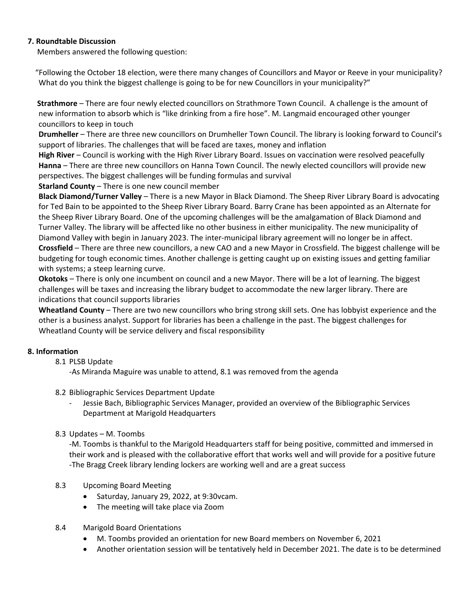#### **7. Roundtable Discussion**

Members answered the following question:

"Following the October 18 election, were there many changes of Councillors and Mayor or Reeve in your municipality? What do you think the biggest challenge is going to be for new Councillors in your municipality?"

 **Strathmore** – There are four newly elected councillors on Strathmore Town Council. A challenge is the amount of new information to absorb which is "like drinking from a fire hose". M. Langmaid encouraged other younger councillors to keep in touch

**Drumheller** – There are three new councillors on Drumheller Town Council. The library is looking forward to Council's support of libraries. The challenges that will be faced are taxes, money and inflation

**High River** – Council is working with the High River Library Board. Issues on vaccination were resolved peacefully **Hanna** – There are three new councillors on Hanna Town Council. The newly elected councillors will provide new perspectives. The biggest challenges will be funding formulas and survival

**Starland County** – There is one new council member

**Black Diamond/Turner Valley** – There is a new Mayor in Black Diamond. The Sheep River Library Board is advocating for Ted Bain to be appointed to the Sheep River Library Board. Barry Crane has been appointed as an Alternate for the Sheep River Library Board. One of the upcoming challenges will be the amalgamation of Black Diamond and Turner Valley. The library will be affected like no other business in either municipality. The new municipality of Diamond Valley with begin in January 2023. The inter-municipal library agreement will no longer be in affect. **Crossfield** – There are three new councillors, a new CAO and a new Mayor in Crossfield. The biggest challenge will be budgeting for tough economic times. Another challenge is getting caught up on existing issues and getting familiar with systems; a steep learning curve.

**Okotoks** – There is only one incumbent on council and a new Mayor. There will be a lot of learning. The biggest challenges will be taxes and increasing the library budget to accommodate the new larger library. There are indications that council supports libraries

**Wheatland County** – There are two new councillors who bring strong skill sets. One has lobbyist experience and the other is a business analyst. Support for libraries has been a challenge in the past. The biggest challenges for Wheatland County will be service delivery and fiscal responsibility

## **8. Information**

8.1 PLSB Update

-As Miranda Maguire was unable to attend, 8.1 was removed from the agenda

## 8.2 Bibliographic Services Department Update

- Jessie Bach, Bibliographic Services Manager, provided an overview of the Bibliographic Services Department at Marigold Headquarters
- 8.3 Updates M. Toombs

-M. Toombs is thankful to the Marigold Headquarters staff for being positive, committed and immersed in their work and is pleased with the collaborative effort that works well and will provide for a positive future -The Bragg Creek library lending lockers are working well and are a great success

- 8.3 Upcoming Board Meeting
	- Saturday, January 29, 2022, at 9:30vcam.
	- The meeting will take place via Zoom

#### 8.4 Marigold Board Orientations

- M. Toombs provided an orientation for new Board members on November 6, 2021
- Another orientation session will be tentatively held in December 2021. The date is to be determined